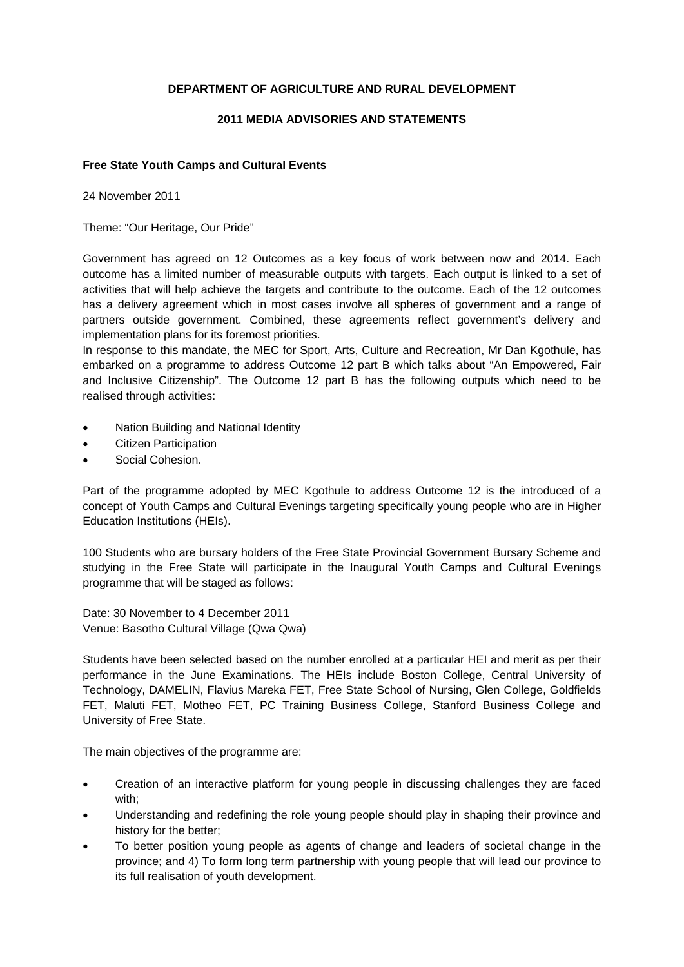# **DEPARTMENT OF AGRICULTURE AND RURAL DEVELOPMENT**

### **2011 MEDIA ADVISORIES AND STATEMENTS**

### **Free State Youth Camps and Cultural Events**

24 November 2011

Theme: "Our Heritage, Our Pride"

Government has agreed on 12 Outcomes as a key focus of work between now and 2014. Each outcome has a limited number of measurable outputs with targets. Each output is linked to a set of activities that will help achieve the targets and contribute to the outcome. Each of the 12 outcomes has a delivery agreement which in most cases involve all spheres of government and a range of partners outside government. Combined, these agreements reflect government's delivery and implementation plans for its foremost priorities.

In response to this mandate, the MEC for Sport, Arts, Culture and Recreation, Mr Dan Kgothule, has embarked on a programme to address Outcome 12 part B which talks about "An Empowered, Fair and Inclusive Citizenship". The Outcome 12 part B has the following outputs which need to be realised through activities:

- Nation Building and National Identity
- Citizen Participation
- Social Cohesion.

Part of the programme adopted by MEC Kgothule to address Outcome 12 is the introduced of a concept of Youth Camps and Cultural Evenings targeting specifically young people who are in Higher Education Institutions (HEIs).

100 Students who are bursary holders of the Free State Provincial Government Bursary Scheme and studying in the Free State will participate in the Inaugural Youth Camps and Cultural Evenings programme that will be staged as follows:

Date: 30 November to 4 December 2011 Venue: Basotho Cultural Village (Qwa Qwa)

Students have been selected based on the number enrolled at a particular HEI and merit as per their performance in the June Examinations. The HEIs include Boston College, Central University of Technology, DAMELIN, Flavius Mareka FET, Free State School of Nursing, Glen College, Goldfields FET, Maluti FET, Motheo FET, PC Training Business College, Stanford Business College and University of Free State.

The main objectives of the programme are:

- Creation of an interactive platform for young people in discussing challenges they are faced with;
- Understanding and redefining the role young people should play in shaping their province and history for the better;
- To better position young people as agents of change and leaders of societal change in the province; and 4) To form long term partnership with young people that will lead our province to its full realisation of youth development.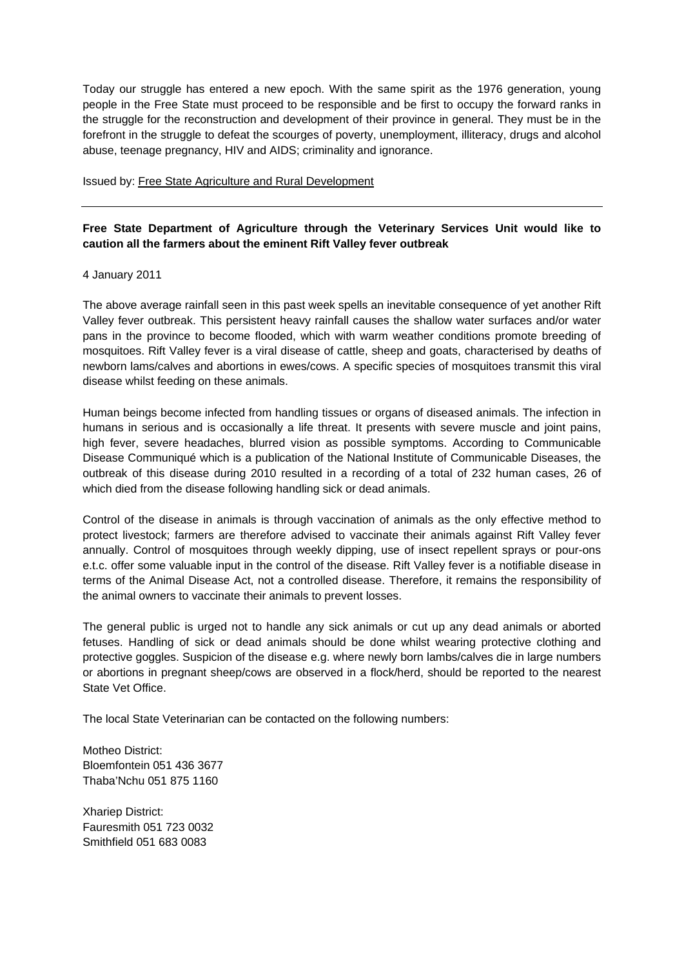Today our struggle has entered a new epoch. With the same spirit as the 1976 generation, young people in the Free State must proceed to be responsible and be first to occupy the forward ranks in the struggle for the reconstruction and development of their province in general. They must be in the forefront in the struggle to defeat the scourges of poverty, unemployment, illiteracy, drugs and alcohol abuse, teenage pregnancy, HIV and AIDS; criminality and ignorance.

#### Issued by: Free State Agriculture and Rural Development

# **Free State Department of Agriculture through the Veterinary Services Unit would like to caution all the farmers about the eminent Rift Valley fever outbreak**

#### 4 January 2011

The above average rainfall seen in this past week spells an inevitable consequence of yet another Rift Valley fever outbreak. This persistent heavy rainfall causes the shallow water surfaces and/or water pans in the province to become flooded, which with warm weather conditions promote breeding of mosquitoes. Rift Valley fever is a viral disease of cattle, sheep and goats, characterised by deaths of newborn lams/calves and abortions in ewes/cows. A specific species of mosquitoes transmit this viral disease whilst feeding on these animals.

Human beings become infected from handling tissues or organs of diseased animals. The infection in humans in serious and is occasionally a life threat. It presents with severe muscle and joint pains, high fever, severe headaches, blurred vision as possible symptoms. According to Communicable Disease Communiqué which is a publication of the National Institute of Communicable Diseases, the outbreak of this disease during 2010 resulted in a recording of a total of 232 human cases, 26 of which died from the disease following handling sick or dead animals.

Control of the disease in animals is through vaccination of animals as the only effective method to protect livestock; farmers are therefore advised to vaccinate their animals against Rift Valley fever annually. Control of mosquitoes through weekly dipping, use of insect repellent sprays or pour-ons e.t.c. offer some valuable input in the control of the disease. Rift Valley fever is a notifiable disease in terms of the Animal Disease Act, not a controlled disease. Therefore, it remains the responsibility of the animal owners to vaccinate their animals to prevent losses.

The general public is urged not to handle any sick animals or cut up any dead animals or aborted fetuses. Handling of sick or dead animals should be done whilst wearing protective clothing and protective goggles. Suspicion of the disease e.g. where newly born lambs/calves die in large numbers or abortions in pregnant sheep/cows are observed in a flock/herd, should be reported to the nearest State Vet Office.

The local State Veterinarian can be contacted on the following numbers:

Motheo District: Bloemfontein 051 436 3677 Thaba'Nchu 051 875 1160

Xhariep District: Fauresmith 051 723 0032 Smithfield 051 683 0083